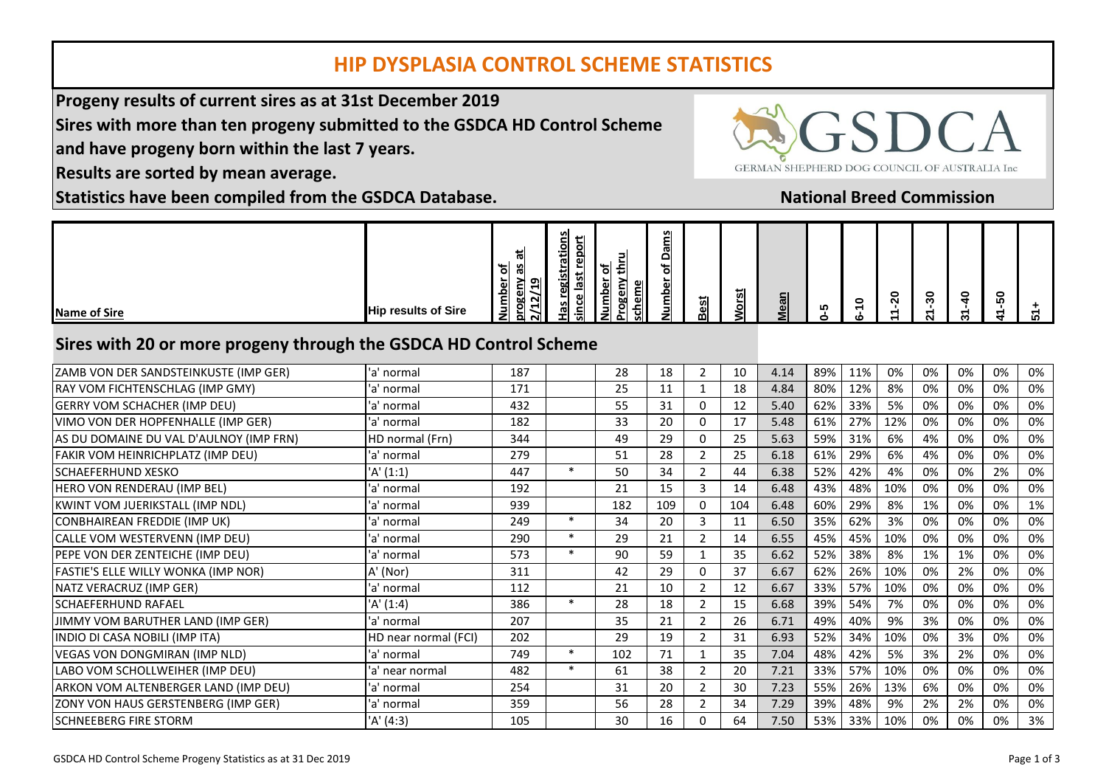## **HIP DYSPLASIA CONTROL SCHEME STATISTICS**

**Progeny results of current sires as at 31st December 2019**

**Sires with more than ten progeny submitted to the GSDCA HD Control Scheme**

**and have progeny born within the last 7 years.**

**Results are sorted by mean average.**

**Statistics have been compiled from the GSDCA Database.**

| GERMAN SHEPHERD DOG COUNCIL OF AUSTRALIA Inc |
|----------------------------------------------|

 $\sim$   $\sim$ 

**National Breed Commission**

| <b>Name of Sire</b> | <b>Hip results of Sire</b> | ى<br>iσ<br>န္တ<br>∼.<br>ותס<br>c.<br>−<br>٩<br>잆<br>NI<br>õ۱<br>∍<br>−<br>►<br>z<br>ച<br>NI | פ<br>مسد<br>∼<br>ol<br>$\sim$<br>$\cdot$<br>ൎ<br>≖<br>$\overline{\phantom{a}}$<br>ï٨<br><b>S</b><br>ъ.<br>ത<br>잇<br>ωı<br>ັ<br>ത<br>. .<br><u>ៈតា</u><br>- | -<br>ឌူ<br>ഄ<br><u>ہ م</u><br>$\overline{\phantom{a}}$<br>$\overline{\mathbf{s}}$<br>உப<br>о.<br>ပ္တု<br>۱Ž۱<br>O | <b>SOF</b><br>_<br>-<br>►<br>ത്വ<br>≏<br>ម⊣<br>이<br>►<br>വ<br>ום<br>cl<br>_<br>╺<br>- 1<br>$\mathbf{z}$ | ៊<br>انت<br>മി | ' سه<br>Ö٥ | ⊆<br>ത<br>Ü<br>− | Ю | $\bullet$<br>$\overline{\phantom{0}}$ | 0<br>N | o<br>-<br>$\ddot{\phantom{m}}$ | - | 0<br>הו | ĸ |
|---------------------|----------------------------|---------------------------------------------------------------------------------------------|------------------------------------------------------------------------------------------------------------------------------------------------------------|-------------------------------------------------------------------------------------------------------------------|---------------------------------------------------------------------------------------------------------|----------------|------------|------------------|---|---------------------------------------|--------|--------------------------------|---|---------|---|
|---------------------|----------------------------|---------------------------------------------------------------------------------------------|------------------------------------------------------------------------------------------------------------------------------------------------------------|-------------------------------------------------------------------------------------------------------------------|---------------------------------------------------------------------------------------------------------|----------------|------------|------------------|---|---------------------------------------|--------|--------------------------------|---|---------|---|

## **Sires with 20 or more progeny through the GSDCA HD Control Scheme**

| ZAMB VON DER SANDSTEINKUSTE (IMP GER)   | 'a' normal           | 187 |        | 28  | 18  | 2              | 10  | 4.14 | 89% | 11% | 0%  | 0% | 0% | 0% | 0% |
|-----------------------------------------|----------------------|-----|--------|-----|-----|----------------|-----|------|-----|-----|-----|----|----|----|----|
| RAY VOM FICHTENSCHLAG (IMP GMY)         | 'a' normal           | 171 |        | 25  | 11  |                | 18  | 4.84 | 80% | 12% | 8%  | 0% | 0% | 0% | 0% |
| GERRY VOM SCHACHER (IMP DEU)            | 'a' normal           | 432 |        | 55  | 31  | $\Omega$       | 12  | 5.40 | 62% | 33% | 5%  | 0% | 0% | 0% | 0% |
| VIMO VON DER HOPFENHALLE (IMP GER)      | 'a' normal           | 182 |        | 33  | 20  | O              | 17  | 5.48 | 61% | 27% | 12% | 0% | 0% | 0% | 0% |
| AS DU DOMAINE DU VAL D'AULNOY (IMP FRN) | HD normal (Frn)      | 344 |        | 49  | 29  | $\Omega$       | 25  | 5.63 | 59% | 31% | 6%  | 4% | 0% | 0% | 0% |
| FAKIR VOM HEINRICHPLATZ (IMP DEU)       | 'a' normal           | 279 |        | 51  | 28  | $\overline{2}$ | 25  | 6.18 | 61% | 29% | 6%  | 4% | 0% | 0% | 0% |
| lschaeferhund Xesko                     | 'A' (1:1)            | 447 | $\ast$ | 50  | 34  | $\mathcal{P}$  | 44  | 6.38 | 52% | 42% | 4%  | 0% | 0% | 2% | 0% |
| HERO VON RENDERAU (IMP BEL)             | 'a' normal           | 192 |        | 21  | 15  | 3              | 14  | 6.48 | 43% | 48% | 10% | 0% | 0% | 0% | 0% |
| KWINT VOM JUERIKSTALL (IMP NDL)         | 'a' normal           | 939 |        | 182 | 109 | $\Omega$       | 104 | 6.48 | 60% | 29% | 8%  | 1% | 0% | 0% | 1% |
| <b>CONBHAIREAN FREDDIE (IMP UK)</b>     | 'a' normal           | 249 | $\ast$ | 34  | 20  | 3              | 11  | 6.50 | 35% | 62% | 3%  | 0% | 0% | 0% | 0% |
| CALLE VOM WESTERVENN (IMP DEU)          | 'a' normal           | 290 | $\ast$ | 29  | 21  | $\mathcal{P}$  | 14  | 6.55 | 45% | 45% | 10% | 0% | 0% | 0% | 0% |
| PEPE VON DER ZENTEICHE (IMP DEU)        | 'a' normal           | 573 | $\ast$ | 90  | 59  |                | 35  | 6.62 | 52% | 38% | 8%  | 1% | 1% | 0% | 0% |
| FASTIE'S ELLE WILLY WONKA (IMP NOR)     | A' (Nor)             | 311 |        | 42  | 29  | 0              | 37  | 6.67 | 62% | 26% | 10% | 0% | 2% | 0% | 0% |
| NATZ VERACRUZ (IMP GER)                 | 'a' normal           | 112 |        | 21  | 10  | $\mathcal{P}$  | 12  | 6.67 | 33% | 57% | 10% | 0% | 0% | 0% | 0% |
| <b>SCHAEFERHUND RAFAEL</b>              | 'A' (1:4)            | 386 | $\ast$ | 28  | 18  | $\overline{2}$ | 15  | 6.68 | 39% | 54% | 7%  | 0% | 0% | 0% | 0% |
| JIMMY VOM BARUTHER LAND (IMP GER)       | 'a' normal           | 207 |        | 35  | 21  | $\overline{2}$ | 26  | 6.71 | 49% | 40% | 9%  | 3% | 0% | 0% | 0% |
| INDIO DI CASA NOBILI (IMP ITA)          | HD near normal (FCI) | 202 |        | 29  | 19  | $\mathcal{P}$  | 31  | 6.93 | 52% | 34% | 10% | 0% | 3% | 0% | 0% |
| VEGAS VON DONGMIRAN (IMP NLD)           | 'a' normal           | 749 | $\ast$ | 102 | 71  |                | 35  | 7.04 | 48% | 42% | 5%  | 3% | 2% | 0% | 0% |
| LABO VOM SCHOLLWEIHER (IMP DEU)         | 'a' near normal      | 482 | $\ast$ | 61  | 38  | 2              | 20  | 7.21 | 33% | 57% | 10% | 0% | 0% | 0% | 0% |
| ARKON VOM ALTENBERGER LAND (IMP DEU)    | 'a' normal           | 254 |        | 31  | 20  | $\mathcal{P}$  | 30  | 7.23 | 55% | 26% | 13% | 6% | 0% | 0% | 0% |
| ZONY VON HAUS GERSTENBERG (IMP GER)     | 'a' normal           | 359 |        | 56  | 28  | $\mathcal{P}$  | 34  | 7.29 | 39% | 48% | 9%  | 2% | 2% | 0% | 0% |
| <b>SCHNEEBERG FIRE STORM</b>            | 'A' (4:3)            | 105 |        | 30  | 16  | O              | 64  | 7.50 | 53% | 33% | 10% | 0% | 0% | 0% | 3% |
|                                         |                      |     |        |     |     |                |     |      |     |     |     |    |    |    |    |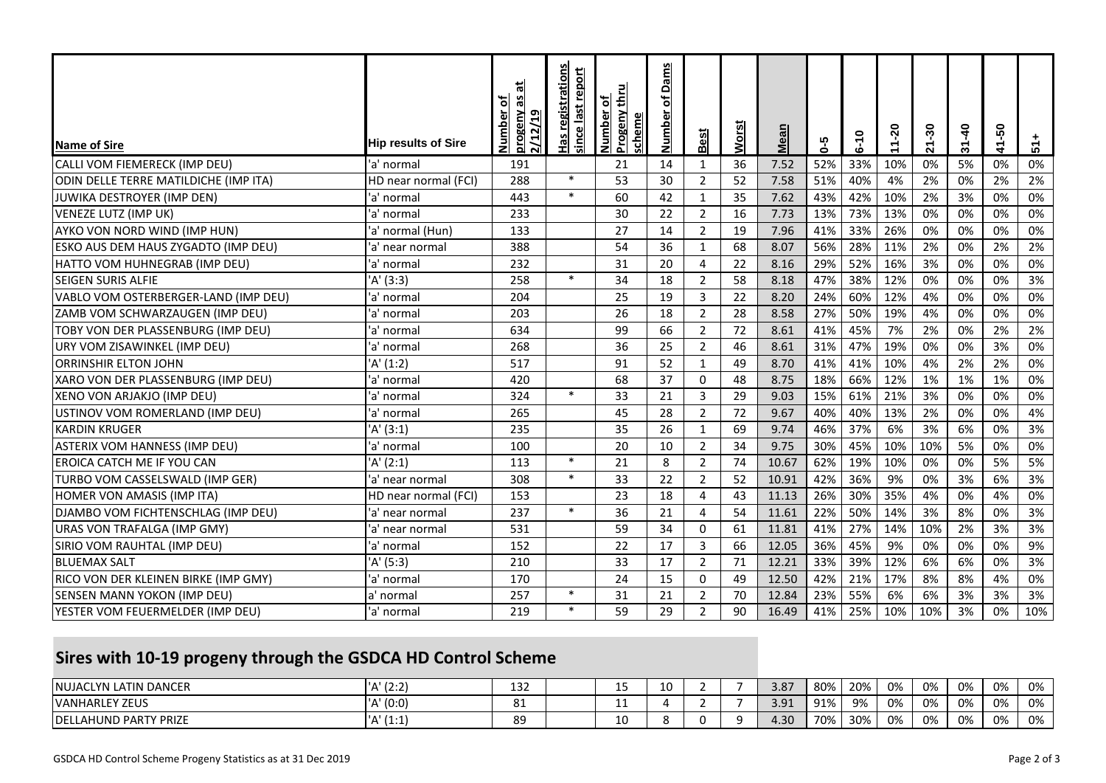| <b>Name of Sire</b>                   | <b>Hip results of Sire</b> | ᄇ<br>progeny as<br>৳<br><b>Number</b><br>2/12/19 | <b>Has registrations</b><br>last report<br>since | <b>Progeny thru</b><br>히<br><b>Number</b><br>scheme | <u>Dams</u><br>비<br><b>Number</b> | Best           | <b>Worst</b> | <b>Mean</b> | $6 - 5$ | $6 - 10$ | $11 - 20$ | 21-30 | $31 - 40$ | -50<br>$\mathbf{r}$ | $51 +$ |
|---------------------------------------|----------------------------|--------------------------------------------------|--------------------------------------------------|-----------------------------------------------------|-----------------------------------|----------------|--------------|-------------|---------|----------|-----------|-------|-----------|---------------------|--------|
| CALLI VOM FIEMERECK (IMP DEU)         | 'a' normal                 | 191                                              |                                                  | 21                                                  | 14                                | 1              | 36           | 7.52        | 52%     | 33%      | 10%       | 0%    | 5%        | 0%                  | 0%     |
| ODIN DELLE TERRE MATILDICHE (IMP ITA) | HD near normal (FCI)       | 288                                              | $\ast$                                           | 53                                                  | 30                                | $\overline{2}$ | 52           | 7.58        | 51%     | 40%      | 4%        | 2%    | 0%        | 2%                  | 2%     |
| JUWIKA DESTROYER (IMP DEN)            | 'a' normal                 | 443                                              | $\ast$                                           | 60                                                  | 42                                | $\mathbf{1}$   | 35           | 7.62        | 43%     | 42%      | 10%       | 2%    | 3%        | 0%                  | 0%     |
| VENEZE LUTZ (IMP UK)                  | 'a' normal                 | 233                                              |                                                  | 30                                                  | 22                                | $\overline{2}$ | 16           | 7.73        | 13%     | 73%      | 13%       | 0%    | 0%        | 0%                  | 0%     |
| AYKO VON NORD WIND (IMP HUN)          | 'a' normal (Hun)           | 133                                              |                                                  | 27                                                  | 14                                | $\overline{2}$ | 19           | 7.96        | 41%     | 33%      | 26%       | 0%    | 0%        | 0%                  | 0%     |
| ESKO AUS DEM HAUS ZYGADTO (IMP DEU)   | 'a' near normal            | 388                                              |                                                  | 54                                                  | 36                                | $\mathbf{1}$   | 68           | 8.07        | 56%     | 28%      | 11%       | 2%    | 0%        | 2%                  | 2%     |
| HATTO VOM HUHNEGRAB (IMP DEU)         | 'a' normal                 | 232                                              |                                                  | 31                                                  | 20                                | 4              | 22           | 8.16        | 29%     | 52%      | 16%       | 3%    | 0%        | 0%                  | 0%     |
| <b>SEIGEN SURIS ALFIE</b>             | 'A' (3:3)                  | 258                                              | $\ast$                                           | 34                                                  | 18                                | $\overline{2}$ | 58           | 8.18        | 47%     | 38%      | 12%       | 0%    | 0%        | 0%                  | 3%     |
| VABLO VOM OSTERBERGER-LAND (IMP DEU)  | 'a' normal                 | 204                                              |                                                  | 25                                                  | 19                                | 3              | 22           | 8.20        | 24%     | 60%      | 12%       | 4%    | 0%        | 0%                  | 0%     |
| ZAMB VOM SCHWARZAUGEN (IMP DEU)       | 'a' normal                 | 203                                              |                                                  | 26                                                  | 18                                | $\overline{2}$ | 28           | 8.58        | 27%     | 50%      | 19%       | 4%    | 0%        | 0%                  | 0%     |
| TOBY VON DER PLASSENBURG (IMP DEU)    | 'a' normal                 | 634                                              |                                                  | 99                                                  | 66                                | $\overline{2}$ | 72           | 8.61        | 41%     | 45%      | 7%        | 2%    | 0%        | 2%                  | 2%     |
| URY VOM ZISAWINKEL (IMP DEU)          | 'a' normal                 | 268                                              |                                                  | 36                                                  | 25                                | $\overline{2}$ | 46           | 8.61        | 31%     | 47%      | 19%       | 0%    | 0%        | 3%                  | 0%     |
| <b>ORRINSHIR ELTON JOHN</b>           | 'A' (1:2)                  | 517                                              |                                                  | 91                                                  | 52                                | $\mathbf{1}$   | 49           | 8.70        | 41%     | 41%      | 10%       | 4%    | 2%        | 2%                  | 0%     |
| XARO VON DER PLASSENBURG (IMP DEU)    | 'a' normal                 | 420                                              |                                                  | 68                                                  | 37                                | $\Omega$       | 48           | 8.75        | 18%     | 66%      | 12%       | 1%    | 1%        | 1%                  | 0%     |
| XENO VON ARJAKJO (IMP DEU)            | 'a' normal                 | 324                                              | $\ast$                                           | 33                                                  | 21                                | 3              | 29           | 9.03        | 15%     | 61%      | 21%       | 3%    | 0%        | 0%                  | 0%     |
| USTINOV VOM ROMERLAND (IMP DEU)       | 'a' normal                 | 265                                              |                                                  | 45                                                  | 28                                | $\overline{2}$ | 72           | 9.67        | 40%     | 40%      | 13%       | 2%    | 0%        | 0%                  | 4%     |
| <b>KARDIN KRUGER</b>                  | 'A' (3:1)                  | 235                                              |                                                  | 35                                                  | 26                                | $\mathbf{1}$   | 69           | 9.74        | 46%     | 37%      | 6%        | 3%    | 6%        | 0%                  | 3%     |
| ASTERIX VOM HANNESS (IMP DEU)         | 'a' normal                 | 100                                              |                                                  | 20                                                  | 10                                | $\overline{2}$ | 34           | 9.75        | 30%     | 45%      | 10%       | 10%   | 5%        | 0%                  | 0%     |
| <b>EROICA CATCH ME IF YOU CAN</b>     | 'A' (2:1)                  | 113                                              | $\ast$                                           | 21                                                  | 8                                 | $\overline{2}$ | 74           | 10.67       | 62%     | 19%      | 10%       | 0%    | 0%        | 5%                  | 5%     |
| TURBO VOM CASSELSWALD (IMP GER)       | 'a' near normal            | 308                                              | $\ast$                                           | 33                                                  | 22                                | $\overline{2}$ | 52           | 10.91       | 42%     | 36%      | 9%        | 0%    | 3%        | 6%                  | 3%     |
| HOMER VON AMASIS (IMP ITA)            | HD near normal (FCI)       | 153                                              |                                                  | 23                                                  | 18                                | 4              | 43           | 11.13       | 26%     | 30%      | 35%       | 4%    | 0%        | 4%                  | 0%     |
| DJAMBO VOM FICHTENSCHLAG (IMP DEU)    | 'a' near normal            | 237                                              | $\ast$                                           | 36                                                  | 21                                | 4              | 54           | 11.61       | 22%     | 50%      | 14%       | 3%    | 8%        | 0%                  | 3%     |
| URAS VON TRAFALGA (IMP GMY)           | 'a' near normal            | 531                                              |                                                  | 59                                                  | 34                                | $\mathbf 0$    | 61           | 11.81       | 41%     | 27%      | 14%       | 10%   | 2%        | 3%                  | 3%     |
| SIRIO VOM RAUHTAL (IMP DEU)           | 'a' normal                 | 152                                              |                                                  | 22                                                  | 17                                | 3              | 66           | 12.05       | 36%     | 45%      | 9%        | 0%    | 0%        | 0%                  | 9%     |
| <b>BLUEMAX SALT</b>                   | 'A' (5:3)                  | 210                                              |                                                  | 33                                                  | 17                                | $\overline{2}$ | 71           | 12.21       | 33%     | 39%      | 12%       | 6%    | 6%        | 0%                  | 3%     |
| RICO VON DER KLEINEN BIRKE (IMP GMY)  | 'a' normal                 | 170                                              |                                                  | 24                                                  | 15                                | $\Omega$       | 49           | 12.50       | 42%     | 21%      | 17%       | 8%    | 8%        | 4%                  | 0%     |
| SENSEN MANN YOKON (IMP DEU)           | a' normal                  | 257                                              | $\ast$                                           | 31                                                  | 21                                | $\overline{2}$ | 70           | 12.84       | 23%     | 55%      | 6%        | 6%    | 3%        | 3%                  | 3%     |
| YESTER VOM FEUERMELDER (IMP DEU)      | 'a' normal                 | 219                                              | $\ast$                                           | 59                                                  | 29                                | $\overline{2}$ | 90           | 16.49       | 41%     | 25%      | 10%       | 10%   | 3%        | 0%                  | 10%    |

## **Sires with 10-19 progeny through the GSDCA HD Control Scheme**

| <b>INUJACLYN LATIN DANCER</b>      | (2:2)         | 1 7 7<br>15 Z | --  |  | 3.87        | 80% | 20% | 0% | 0% | 0% | 0% | 0% |
|------------------------------------|---------------|---------------|-----|--|-------------|-----|-----|----|----|----|----|----|
| <b>VANHARLEY ZEUS</b>              | (0:0)         | 01<br>oц      | . . |  | 391<br>J.J. | 91% | 9%  | 0% | 0% | 0% | 0% | 0% |
| HUND PARTY PRIZE<br><b>IDELLAH</b> | (1.1)<br>11.1 | 89            | 10  |  | 4.30        | 70% | 30% | 0% | 0% | 0% | 0% | 0% |